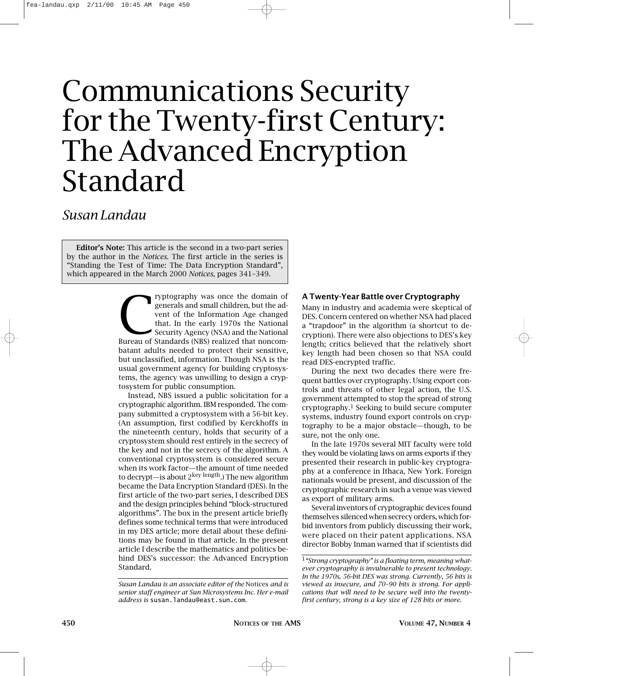# Communications Security for the Twenty-first Century: The Advanced Encryption Standard

# *Susan Landau*

**Editor's Note:** This article is the second in a two-part series by the author in the *Notices*. The first article in the series is "Standing the Test of Time: The Data Encryption Standard", which appeared in the March 2000 *Notices*, pages 341–349.

> Typtography was once the domain of<br>generals and small children, but the ad-<br>vent of the Information Age changed<br>that. In the early 1970s the National<br>Security Agency (NSA) and the National<br>Rureau of Standards (NRS) realize generals and small children, but the advent of the Information Age changed that. In the early 1970s the National Security Agency (NSA) and the National Bureau of Standards (NBS) realized that noncombatant adults needed to protect their sensitive, but unclassified, information. Though NSA is the usual government agency for building cryptosystems, the agency was unwilling to design a cryptosystem for public consumption.

> Instead, NBS issued a public solicitation for a cryptographic algorithm. IBM responded. The company submitted a cryptosystem with a 56-bit key. (An assumption, first codified by Kerckhoffs in the nineteenth century, holds that security of a cryptosystem should rest entirely in the secrecy of the key and not in the secrecy of the algorithm. A conventional cryptosystem is considered secure when its work factor—the amount of time needed to decrypt—is about  $2^{key}$  length.) The new algorithm became the Data Encryption Standard (DES). In the first article of the two-part series, I described DES and the design principles behind "block-structured algorithms". The box in the present article briefly defines some technical terms that were introduced in my DES article; more detail about these definitions may be found in that article. In the present article I describe the mathematics and politics behind DES's successor: the Advanced Encryption Standard.

# **A Twenty-Year Battle over Cryptography**

Many in industry and academia were skeptical of DES. Concern centered on whether NSA had placed a "trapdoor" in the algorithm (a shortcut to decryption). There were also objections to DES's key length; critics believed that the relatively short key length had been chosen so that NSA could read DES-encrypted traffic.

During the next two decades there were frequent battles over cryptography. Using export controls and threats of other legal action, the U.S. government attempted to stop the spread of strong cryptography.1 Seeking to build secure computer systems, industry found export controls on cryptography to be a major obstacle—though, to be sure, not the only one.

In the late 1970s several MIT faculty were told they would be violating laws on arms exports if they presented their research in public-key cryptography at a conference in Ithaca, New York. Foreign nationals would be present, and discussion of the cryptographic research in such a venue was viewed as export of military arms.

Several inventors of cryptographic devices found themselves silenced when secrecy orders, which forbid inventors from publicly discussing their work, were placed on their patent applications. NSA director Bobby Inman warned that if scientists did

*Susan Landau is an associate editor of the* Notices *and is senior staff engineer at Sun Microsystems Inc. Her e-mail address is* susan.landau@east.sun.com*.*

<sup>1</sup>*"Strong cryptography" is a floating term, meaning whatever cryptography is invulnerable to present technology. In the 1970s, 56-bit DES was strong. Currently, 56 bits is viewed as insecure, and 70–90 bits is strong. For applications that will need to be secure well into the twentyfirst century, strong is a key size of 128 bits or more.*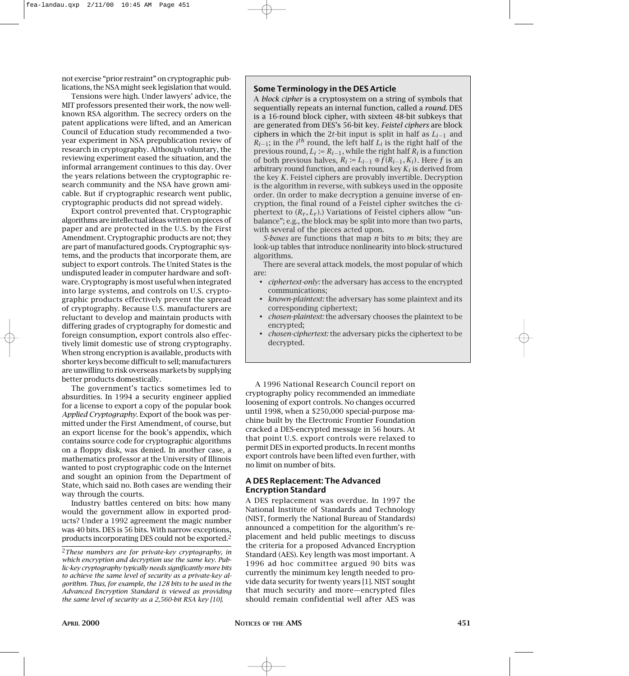not exercise "prior restraint" on cryptographic publications, the NSA might seek legislation that would.

Tensions were high. Under lawyers' advice, the MIT professors presented their work, the now wellknown RSA algorithm. The secrecy orders on the patent applications were lifted, and an American Council of Education study recommended a twoyear experiment in NSA prepublication review of research in cryptography. Although voluntary, the reviewing experiment eased the situation, and the informal arrangement continues to this day. Over the years relations between the cryptographic research community and the NSA have grown amicable. But if cryptographic research went public, cryptographic products did not spread widely.

Export control prevented that. Cryptographic algorithms are intellectual ideas written on pieces of paper and are protected in the U.S. by the First Amendment. Cryptographic products are not; they are part of manufactured goods. Cryptographic systems, and the products that incorporate them, are subject to export controls. The United States is the undisputed leader in computer hardware and software. Cryptography is most useful when integrated into large systems, and controls on U.S. cryptographic products effectively prevent the spread of cryptography. Because U.S. manufacturers are reluctant to develop and maintain products with differing grades of cryptography for domestic and foreign consumption, export controls also effectively limit domestic use of strong cryptography. When strong encryption is available, products with shorter keys become difficult to sell; manufacturers are unwilling to risk overseas markets by supplying better products domestically.

The government's tactics sometimes led to absurdities. In 1994 a security engineer applied for a license to export a copy of the popular book *Applied Cryptography*. Export of the book was permitted under the First Amendment, of course, but an export license for the book's appendix, which contains source code for cryptographic algorithms on a floppy disk, was denied. In another case, a mathematics professor at the University of Illinois wanted to post cryptographic code on the Internet and sought an opinion from the Department of State, which said no. Both cases are wending their way through the courts.

Industry battles centered on bits: how many would the government allow in exported products? Under a 1992 agreement the magic number was 40 bits. DES is 56 bits. With narrow exceptions, products incorporating DES could not be exported.2

#### **Some Terminology in the DES Article**

A *block cipher* is a cryptosystem on a string of symbols that sequentially repeats an internal function, called a *round*. DES is a 16-round block cipher, with sixteen 48-bit subkeys that are generated from DES's 56-bit key. *Feistel ciphers* are block ciphers in which the 2*t*-bit input is split in half as *Li*<sup>−</sup><sup>1</sup> and  $R_{i-1}$ ; in the *i*<sup>th</sup> round, the left half  $L_i$  is the right half of the previous round,  $L_i := R_{i-1}$ , while the right half  $R_i$  is a function of both previous halves,  $R_i := L_{i-1} ⊕ f(R_{i-1}, K_i)$ . Here *f* is an arbitrary round function, and each round key  $K_i$  is derived from the key *K*. Feistel ciphers are provably invertible. Decryption is the algorithm in reverse, with subkeys used in the opposite order. (In order to make decryption a genuine inverse of encryption, the final round of a Feistel cipher switches the ciphertext to  $(R_r, L_r)$ .) Variations of Feistel ciphers allow "unbalance"; e.g., the block may be split into more than two parts, with several of the pieces acted upon.

*S-boxes* are functions that map *n* bits to *m* bits; they are look-up tables that introduce nonlinearity into block-structured algorithms.

There are several attack models, the most popular of which are:

- *ciphertext-only:* the adversary has access to the encrypted communications;
- *known-plaintext:* the adversary has some plaintext and its corresponding ciphertext;
- *chosen-plaintext:* the adversary chooses the plaintext to be encrypted;
- *chosen-ciphertext:* the adversary picks the ciphertext to be decrypted.

A 1996 National Research Council report on cryptography policy recommended an immediate loosening of export controls. No changes occurred until 1998, when a \$250,000 special-purpose machine built by the Electronic Frontier Foundation cracked a DES-encrypted message in 56 hours. At that point U.S. export controls were relaxed to permit DES in exported products. In recent months export controls have been lifted even further, with no limit on number of bits.

# **A DES Replacement: The Advanced Encryption Standard**

A DES replacement was overdue. In 1997 the National Institute of Standards and Technology (NIST, formerly the National Bureau of Standards) announced a competition for the algorithm's replacement and held public meetings to discuss the criteria for a proposed Advanced Encryption Standard (AES). Key length was most important. A 1996 ad hoc committee argued 90 bits was currently the minimum key length needed to provide data security for twenty years [1]. NIST sought that much security and more—encrypted files should remain confidential well after AES was

<sup>2</sup>*These numbers are for private-key cryptography, in which encryption and decryption use the same key. Public-key cryptography typically needs significantly more bits to achieve the same level of security as a private-key algorithm. Thus, for example, the 128 bits to be used in the Advanced Encryption Standard is viewed as providing the same level of security as a 2,560-bit RSA key [10].*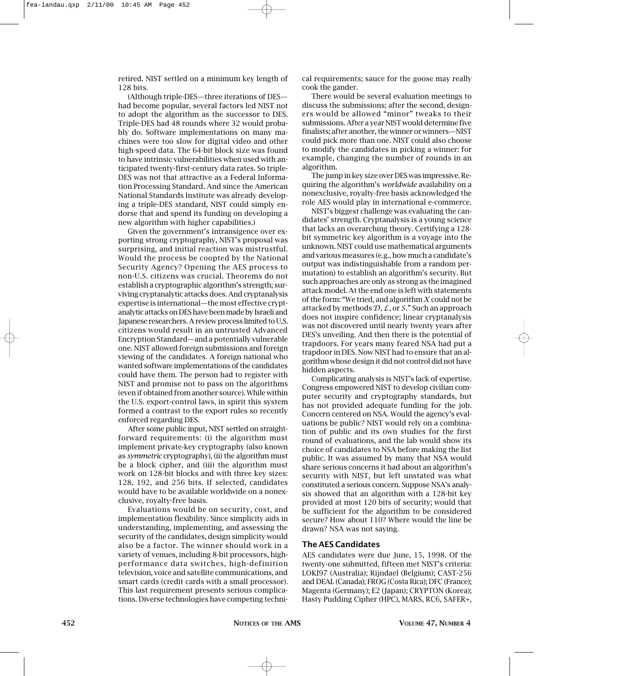retired. NIST settled on a minimum key length of 128 bits.

(Although triple-DES—three iterations of DES had become popular, several factors led NIST not to adopt the algorithm as the successor to DES. Triple-DES had 48 rounds where 32 would probably do. Software implementations on many machines were too slow for digital video and other high-speed data. The 64-bit block size was found to have intrinsic vulnerabilities when used with anticipated twenty-first-century data rates. So triple-DES was not that attractive as a Federal Information Processing Standard. And since the American National Standards Institute was already developing a triple-DES standard, NIST could simply endorse that and spend its funding on developing a new algorithm with higher capabilities.)

Given the government's intransigence over exporting strong cryptography, NIST's proposal was surprising, and initial reaction was mistrustful. Would the process be coopted by the National Security Agency? Opening the AES process to non-U.S. citizens was crucial. Theorems do not establish a cryptographic algorithm's strength; surviving cryptanalytic attacks does. And cryptanalysis expertise is international—the most effective cryptanalytic attacks on DES have been made by Israeli and Japanese researchers. A review process limited to U.S. citizens would result in an untrusted Advanced Encryption Standard—and a potentially vulnerable one. NIST allowed foreign submissions and foreign viewing of the candidates. A foreign national who wanted software implementations of the candidates could have them. The person had to register with NIST and promise not to pass on the algorithms (even if obtained from another source). While within the U.S. export-control laws, in spirit this system formed a contrast to the export rules so recently enforced regarding DES.

After some public input, NIST settled on straightforward requirements: (i) the algorithm must implement private-key cryptography (also known as *symmetric* cryptography), (ii) the algorithm must be a block cipher, and (iii) the algorithm must work on 128-bit blocks and with three key sizes: 128, 192, and 256 bits. If selected, candidates would have to be available worldwide on a nonexclusive, royalty-free basis.

Evaluations would be on security, cost, and implementation flexibility. Since simplicity aids in understanding, implementing, and assessing the security of the candidates, design simplicity would also be a factor. The winner should work in a variety of venues, including 8-bit processors, highperformance data switches, high-definition television, voice and satellite communications, and smart cards (credit cards with a small processor). This last requirement presents serious complications. Diverse technologies have competing technical requirements; sauce for the goose may really cook the gander.

There would be several evaluation meetings to discuss the submissions; after the second, designers would be allowed "minor" tweaks to their submissions. After a year NIST would determine five finalists; after another, the winner or winners—NIST could pick more than one. NIST could also choose to modify the candidates in picking a winner: for example, changing the number of rounds in an algorithm.

The jump in key size over DES was impressive. Requiring the algorithm's *worldwide* availability on a nonexclusive, royalty-free basis acknowledged the role AES would play in international e-commerce.

NIST's biggest challenge was evaluating the candidates' strength. Cryptanalysis is a young science that lacks an overarching theory. Certifying a 128 bit symmetric key algorithm is a voyage into the unknown. NIST could use mathematical arguments and various measures (e.g., how much a candidate's output was indistinguishable from a random permutation) to establish an algorithm's security. But such approaches are only as strong as the imagined attack model. At the end one is left with statements of the form: "We tried, and algorithm  $X$  could not be attacked by methods  $\mathcal{D}, \mathcal{L}$ , or S." Such an approach does not inspire confidence; linear cryptanalysis was not discovered until nearly twenty years after DES's unveiling. And then there is the potential of trapdoors. For years many feared NSA had put a trapdoor in DES. Now NIST had to ensure that an algorithm whose design it did not control did not have hidden aspects.

Complicating analysis is NIST's lack of expertise. Congress empowered NIST to develop civilian computer security and cryptography standards, but has not provided adequate funding for the job. Concern centered on NSA. Would the agency's evaluations be public? NIST would rely on a combination of public and its own studies for the first round of evaluations, and the lab would show its choice of candidates to NSA before making the list public. It was assumed by many that NSA would share serious concerns it had about an algorithm's security with NIST, but left unstated was what constituted a serious concern. Suppose NSA's analysis showed that an algorithm with a 128-bit key provided at most 120 bits of security; would that be sufficient for the algorithm to be considered secure? How about 110? Where would the line be drawn? NSA was not saying.

# **The AES Candidates**

AES candidates were due June, 15, 1998. Of the twenty-one submitted, fifteen met NIST's criteria: LOKI97 (Australia); Rijndael (Belgium); CAST-256 and DEAL (Canada); FROG (Costa Rica); DFC (France); Magenta (Germany); E2 (Japan); CRYPTON (Korea); Hasty Pudding Cipher (HPC), MARS, RC6, SAFER+,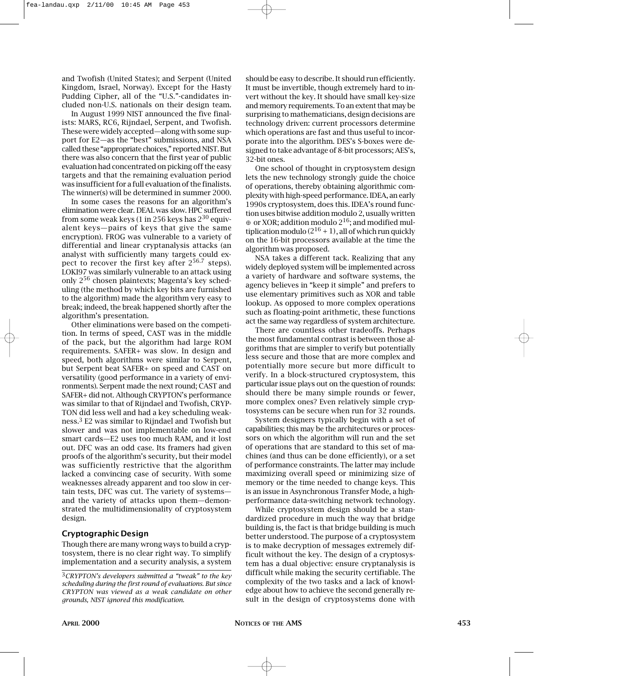and Twofish (United States); and Serpent (United Kingdom, Israel, Norway). Except for the Hasty Pudding Cipher, all of the "U.S."-candidates included non-U.S. nationals on their design team.

In August 1999 NIST announced the five finalists: MARS, RC6, Rijndael, Serpent, and Twofish. These were widely accepted—along with some support for E2—as the "best" submissions, and NSA called these "appropriate choices," reported NIST. But there was also concern that the first year of public evaluation had concentrated on picking off the easy targets and that the remaining evaluation period was insufficient for a full evaluation of the finalists. The winner(s) will be determined in summer 2000.

In some cases the reasons for an algorithm's elimination were clear. DEAL was slow. HPC suffered from some weak keys (1 in 256 keys has  $2^{30}$  equivalent keys—pairs of keys that give the same encryption). FROG was vulnerable to a variety of differential and linear cryptanalysis attacks (an analyst with sufficiently many targets could expect to recover the first key after 256*.*<sup>7</sup> steps). LOKI97 was similarly vulnerable to an attack using only 256 chosen plaintexts; Magenta's key scheduling (the method by which key bits are furnished to the algorithm) made the algorithm very easy to break; indeed, the break happened shortly after the algorithm's presentation.

Other eliminations were based on the competition. In terms of speed, CAST was in the middle of the pack, but the algorithm had large ROM requirements. SAFER+ was slow. In design and speed, both algorithms were similar to Serpent, but Serpent beat SAFER+ on speed and CAST on versatility (good performance in a variety of environments). Serpent made the next round; CAST and SAFER+ did not. Although CRYPTON's performance was similar to that of Rijndael and Twofish, CRYP-TON did less well and had a key scheduling weakness.3 E2 was similar to Rijndael and Twofish but slower and was not implementable on low-end smart cards—E2 uses too much RAM, and it lost out. DFC was an odd case. Its framers had given proofs of the algorithm's security, but their model was sufficiently restrictive that the algorithm lacked a convincing case of security. With some weaknesses already apparent and too slow in certain tests, DFC was cut. The variety of systems and the variety of attacks upon them—demonstrated the multidimensionality of cryptosystem design.

### **Cryptographic Design**

Though there are many wrong ways to build a cryptosystem, there is no clear right way. To simplify implementation and a security analysis, a system

should be easy to describe. It should run efficiently. It must be invertible, though extremely hard to invert without the key. It should have small key-size and memory requirements. To an extent that may be surprising to mathematicians, design decisions are technology driven: current processors determine which operations are fast and thus useful to incorporate into the algorithm. DES's S-boxes were designed to take advantage of 8-bit processors; AES's, 32-bit ones.

One school of thought in cryptosystem design lets the new technology strongly guide the choice of operations, thereby obtaining algorithmic complexity with high-speed performance. IDEA, an early 1990s cryptosystem, does this. IDEA's round function uses bitwise addition modulo 2, usually written  $\oplus$  or XOR; addition modulo 2<sup>16</sup>; and modified multiplication modulo  $(2^{16} + 1)$ , all of which run quickly on the 16-bit processors available at the time the algorithm was proposed.

NSA takes a different tack. Realizing that any widely deployed system will be implemented across a variety of hardware and software systems, the agency believes in "keep it simple" and prefers to use elementary primitives such as XOR and table lookup. As opposed to more complex operations such as floating-point arithmetic, these functions act the same way regardless of system architecture.

There are countless other tradeoffs. Perhaps the most fundamental contrast is between those algorithms that are simpler to verify but potentially less secure and those that are more complex and potentially more secure but more difficult to verify. In a block-structured cryptosystem, this particular issue plays out on the question of rounds: should there be many simple rounds or fewer, more complex ones? Even relatively simple cryptosystems can be secure when run for 32 rounds.

System designers typically begin with a set of capabilities; this may be the architectures or processors on which the algorithm will run and the set of operations that are standard to this set of machines (and thus can be done efficiently), or a set of performance constraints. The latter may include maximizing overall speed or minimizing size of memory or the time needed to change keys. This is an issue in Asynchronous Transfer Mode, a highperformance data-switching network technology.

While cryptosystem design should be a standardized procedure in much the way that bridge building is, the fact is that bridge building is much better understood. The purpose of a cryptosystem is to make decryption of messages extremely difficult without the key. The design of a cryptosystem has a dual objective: ensure cryptanalysis is difficult while making the security certifiable. The complexity of the two tasks and a lack of knowledge about how to achieve the second generally result in the design of cryptosystems done with

<sup>3</sup>*CRYPTON's developers submitted a "tweak" to the key scheduling during the first round of evaluations. But since CRYPTON was viewed as a weak candidate on other grounds, NIST ignored this modification.*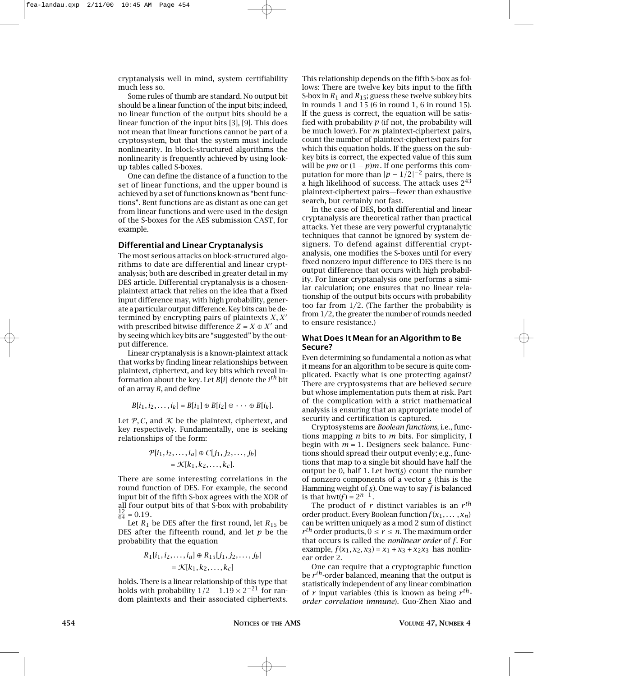cryptanalysis well in mind, system certifiability much less so.

Some rules of thumb are standard. No output bit should be a linear function of the input bits; indeed, no linear function of the output bits should be a linear function of the input bits [3], [9]. This does not mean that linear functions cannot be part of a cryptosystem, but that the system must include nonlinearity. In block-structured algorithms the nonlinearity is frequently achieved by using lookup tables called S-boxes.

One can define the distance of a function to the set of linear functions, and the upper bound is achieved by a set of functions known as "bent functions". Bent functions are as distant as one can get from linear functions and were used in the design of the S-boxes for the AES submission CAST, for example.

#### **Differential and Linear Cryptanalysis**

The most serious attacks on block-structured algorithms to date are differential and linear cryptanalysis; both are described in greater detail in my DES article. Differential cryptanalysis is a chosenplaintext attack that relies on the idea that a fixed input difference may, with high probability, generate a particular output difference. Key bits can be determined by encrypting pairs of plaintexts  $X, X'$ with prescribed bitwise difference  $Z = X \oplus X'$  and by seeing which key bits are "suggested" by the output difference.

Linear cryptanalysis is a known-plaintext attack that works by finding linear relationships between plaintext, ciphertext, and key bits which reveal information about the key. Let *B*[*i*] denote the *ith* bit of an array *B*, and define

$$
B[i_1, i_2, \ldots, i_k] = B[i_1] \oplus B[i_2] \oplus \cdots \oplus B[i_k].
$$

Let  $P$ ,  $C$ , and  $K$  be the plaintext, ciphertext, and key respectively. Fundamentally, one is seeking relationships of the form:

$$
P[i_1, i_2, \dots, i_a] \oplus C[j_1, j_2, \dots, j_b]
$$

$$
= \mathcal{K}[k_1, k_2, \dots, k_c].
$$

There are some interesting correlations in the round function of DES. For example, the second input bit of the fifth S-box agrees with the XOR of all four output bits of that S-box with probability  $\frac{12}{64} = 0.19$ .

Let  $R_1$  be DES after the first round, let  $R_{15}$  be DES after the fifteenth round, and let *p* be the probability that the equation

$$
R_1[i_1, i_2, \dots, i_a] \oplus R_{15}[j_1, j_2, \dots, j_b] \\
= \mathcal{K}[k_1, k_2, \dots, k_c]
$$

holds. There is a linear relationship of this type that holds with probability  $1/2 - 1.19 \times 2^{-21}$  for random plaintexts and their associated ciphertexts. This relationship depends on the fifth S-box as follows: There are twelve key bits input to the fifth S-box in *R*<sup>1</sup> and *R*15; guess these twelve subkey bits in rounds 1 and 15 (6 in round 1, 6 in round 15). If the guess is correct, the equation will be satisfied with probability *p* (if not, the probability will be much lower). For *m* plaintext-ciphertext pairs, count the number of plaintext-ciphertext pairs for which this equation holds. If the guess on the subkey bits is correct, the expected value of this sum will be *pm* or  $(1 - p)m$ . If one performs this computation for more than  $|p - 1/2|^{-2}$  pairs, there is a high likelihood of success. The attack uses  $2^{43}$ plaintext-ciphertext pairs—fewer than exhaustive search, but certainly not fast.

In the case of DES, both differential and linear cryptanalysis are theoretical rather than practical attacks. Yet these are very powerful cryptanalytic techniques that cannot be ignored by system designers. To defend against differential cryptanalysis, one modifies the S-boxes until for every fixed nonzero input difference to DES there is no output difference that occurs with high probability. For linear cryptanalysis one performs a similar calculation; one ensures that no linear relationship of the output bits occurs with probability too far from 1/2. (The farther the probability is from 1/2, the greater the number of rounds needed to ensure resistance.)

#### **What Does It Mean for an Algorithm to Be Secure?**

Even determining so fundamental a notion as what it means for an algorithm to be secure is quite complicated. Exactly what is one protecting against? There are cryptosystems that are believed secure but whose implementation puts them at risk. Part of the complication with a strict mathematical analysis is ensuring that an appropriate model of security and certification is captured.

Cryptosystems are *Boolean functions*, i.e., functions mapping *n* bits to *m* bits. For simplicity, I begin with *m* = 1. Designers seek balance. Functions should spread their output evenly; e.g., functions that map to a single bit should have half the output be 0, half 1. Let hwt(*s*) count the number of nonzero components of a vector *s* (this is the Hamming weight of *s*). One way to say *f* is balanced is that hwt( $f$ ) =  $2^{n-1}$ .

The product of *r* distinct variables is an *r th* order product. Every Boolean function *f* (*x*1*,... ,xn*) can be written uniquely as a mod 2 sum of distinct  $r^{th}$  order products,  $0 \le r \le n$ . The maximum order that occurs is called the *nonlinear order* of *f*. For example,  $f(x_1, x_2, x_3) = x_1 + x_3 + x_2x_3$  has nonlinear order 2.

One can require that a cryptographic function be *r th*-order balanced, meaning that the output is statistically independent of any linear combination of *r* input variables (this is known as being  $r^{th}$ *order correlation immune*). Guo-Zhen Xiao and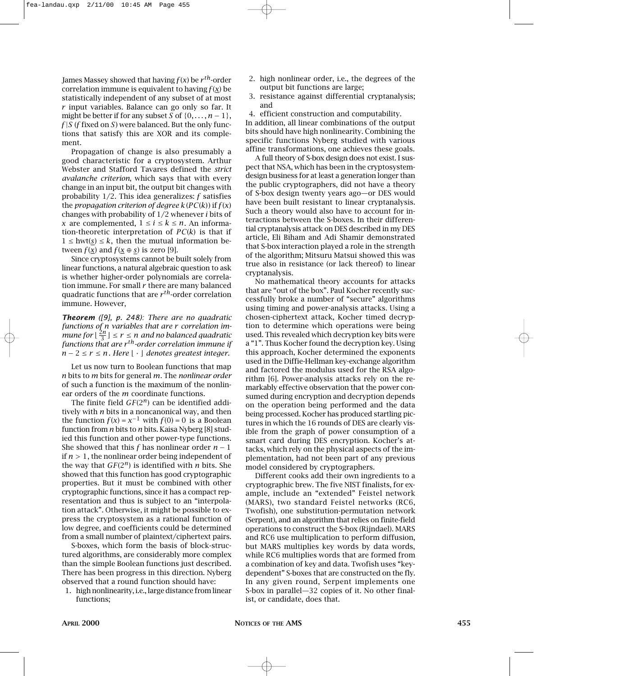James Massey showed that having  $f(x)$  be  $r<sup>th</sup>$ -order correlation immune is equivalent to having  $f(x)$  be statistically independent of any subset of at most *r* input variables. Balance can go only so far. It might be better if for any subset *S* of  $\{0, \ldots, n-1\}$ , *f* |*S* (*f* fixed on *S*) were balanced. But the only functions that satisfy this are XOR and its complement.

Propagation of change is also presumably a good characteristic for a cryptosystem. Arthur Webster and Stafford Tavares defined the *strict avalanche criterion*, which says that with every change in an input bit, the output bit changes with probability 1/2. This idea generalizes: *f* satisfies the *propagation criterion of degree k* (*PC*(*k*)) if *f* (*x*) changes with probability of 1/2 whenever *i* bits of *x* are complemented,  $1 \le i \le k \le n$ . An information-theoretic interpretation of *PC*(*k*) is that if  $1 \leq hwt(s) \leq k$ , then the mutual information between  $f(\underline{x})$  and  $f(\underline{x} \oplus \underline{s})$  is zero [9].

Since cryptosystems cannot be built solely from linear functions, a natural algebraic question to ask is whether higher-order polynomials are correlation immune. For small *r* there are many balanced quadratic functions that are *r th*-order correlation immune. However,

*Theorem ([9], p. 248): There are no quadratic functions of n variables that are r correlation im-* $A$  *mune for*  $\lfloor \frac{2n}{3} \rfloor \le r \le n$  *and no balanced quadratic functions that are r th-order correlation immune if n* − 2 ≤ *r* ≤ *n.* Here  $\lfloor \cdot \rfloor$  denotes greatest integer.

Let us now turn to Boolean functions that map *n* bits to *m* bits for general *m*. The *nonlinear order* of such a function is the maximum of the nonlinear orders of the *m* coordinate functions.

The finite field *GF*(2*n*) can be identified additively with *n* bits in a noncanonical way, and then the function  $f(x) = x^{-1}$  with  $f(0) = 0$  is a Boolean function from *n* bits to *n* bits. Kaisa Nyberg [8] studied this function and other power-type functions. She showed that this *f* has nonlinear order  $n - 1$ if *n >* 1, the nonlinear order being independent of the way that *GF*(2*n*) is identified with *n* bits. She showed that this function has good cryptographic properties. But it must be combined with other cryptographic functions, since it has a compact representation and thus is subject to an "interpolation attack". Otherwise, it might be possible to express the cryptosystem as a rational function of low degree, and coefficients could be determined from a small number of plaintext/ciphertext pairs.

S-boxes, which form the basis of block-structured algorithms, are considerably more complex than the simple Boolean functions just described. There has been progress in this direction. Nyberg observed that a round function should have:

1. high nonlinearity, i.e., large distance from linear functions;

- 2. high nonlinear order, i.e., the degrees of the output bit functions are large;
- 3. resistance against differential cryptanalysis; and

4. efficient construction and computability. In addition, all linear combinations of the output bits should have high nonlinearity. Combining the specific functions Nyberg studied with various affine transformations, one achieves these goals.

A full theory of S-box design does not exist. I suspect that NSA, which has been in the cryptosystemdesign business for at least a generation longer than the public cryptographers, did not have a theory of S-box design twenty years ago—or DES would have been built resistant to linear cryptanalysis. Such a theory would also have to account for interactions between the S-boxes. In their differential cryptanalysis attack on DES described in my DES article, Eli Biham and Adi Shamir demonstrated that S-box interaction played a role in the strength of the algorithm; Mitsuru Matsui showed this was true also in resistance (or lack thereof) to linear cryptanalysis.

No mathematical theory accounts for attacks that are "out of the box". Paul Kocher recently successfully broke a number of "secure" algorithms using timing and power-analysis attacks. Using a chosen-ciphertext attack, Kocher timed decryption to determine which operations were being used. This revealed which decryption key bits were a "1". Thus Kocher found the decryption key. Using this approach, Kocher determined the exponents used in the Diffie-Hellman key-exchange algorithm and factored the modulus used for the RSA algorithm [6]. Power-analysis attacks rely on the remarkably effective observation that the power consumed during encryption and decryption depends on the operation being performed and the data being processed. Kocher has produced startling pictures in which the 16 rounds of DES are clearly visible from the graph of power consumption of a smart card during DES encryption. Kocher's attacks, which rely on the physical aspects of the implementation, had not been part of any previous model considered by cryptographers.

Different cooks add their own ingredients to a cryptographic brew. The five NIST finalists, for example, include an "extended" Feistel network (MARS), two standard Feistel networks (RC6, Twofish), one substitution-permutation network (Serpent), and an algorithm that relies on finite-field operations to construct the S-box (Rijndael). MARS and RC6 use multiplication to perform diffusion, but MARS multiplies key words by data words, while RC6 multiplies words that are formed from a combination of key and data. Twofish uses "keydependent" S-boxes that are constructed on the fly. In any given round, Serpent implements one S-box in parallel—32 copies of it. No other finalist, or candidate, does that.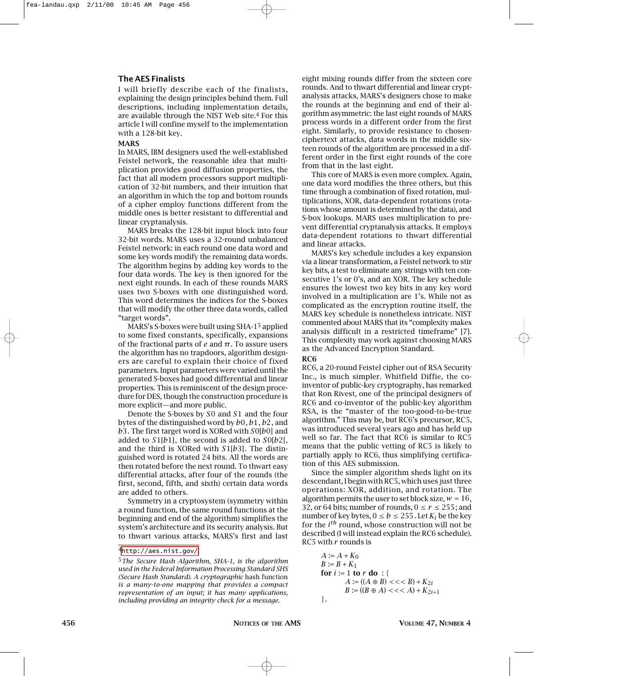#### **The AES Finalists**

I will briefly describe each of the finalists, explaining the design principles behind them. Full descriptions, including implementation details, are available through the NIST Web site.4 For this article I will confine myself to the implementation with a 128-bit key.

#### **MARS**

In MARS, IBM designers used the well-established Feistel network, the reasonable idea that multiplication provides good diffusion properties, the fact that all modern processors support multiplication of 32-bit numbers, and their intuition that an algorithm in which the top and bottom rounds of a cipher employ functions different from the middle ones is better resistant to differential and linear cryptanalysis.

MARS breaks the 128-bit input block into four 32-bit words. MARS uses a 32-round unbalanced Feistel network: in each round one data word and some key words modify the remaining data words. The algorithm begins by adding key words to the four data words. The key is then ignored for the next eight rounds. In each of these rounds MARS uses two S-boxes with one distinguished word. This word determines the indices for the S-boxes that will modify the other three data words, called "target words".

MARS's S-boxes were built using SHA-15 applied to some fixed constants, specifically, expansions of the fractional parts of *e* and *π*. To assure users the algorithm has no trapdoors, algorithm designers are careful to explain their choice of fixed parameters. Input parameters were varied until the generated S-boxes had good differential and linear properties. This is reminiscent of the design procedure for DES, though the construction procedure is more explicit—and more public.

Denote the S-boxes by *S*0 and *S*1 and the four bytes of the distinguished word by *b*0, *b*1, *b*2, and *b*3. The first target word is XORed with *S*0[*b*0] and added to *S*1[*b*1], the second is added to *S*0[*b*2], and the third is XORed with *S*1[*b*3]. The distinguished word is rotated 24 bits. All the words are then rotated before the next round. To thwart easy differential attacks, after four of the rounds (the first, second, fifth, and sixth) certain data words are added to others.

Symmetry in a cryptosystem (symmetry within a round function, the same round functions at the beginning and end of the algorithm) simplifies the system's architecture and its security analysis. But to thwart various attacks, MARS's first and last

eight mixing rounds differ from the sixteen core rounds. And to thwart differential and linear cryptanalysis attacks, MARS's designers chose to make the rounds at the beginning and end of their algorithm asymmetric: the last eight rounds of MARS process words in a different order from the first eight. Similarly, to provide resistance to chosenciphertext attacks, data words in the middle sixteen rounds of the algorithm are processed in a different order in the first eight rounds of the core from that in the last eight.

This core of MARS is even more complex. Again, one data word modifies the three others, but this time through a combination of fixed rotation, multiplications, XOR, data-dependent rotations (rotations whose amount is determined by the data), and S-box lookups. MARS uses multiplication to prevent differential cryptanalysis attacks. It employs data-dependent rotations to thwart differential and linear attacks.

MARS's key schedule includes a key expansion via a linear transformation, a Feistel network to stir key bits, a test to eliminate any strings with ten consecutive 1's or 0's, and an XOR. The key schedule ensures the lowest two key bits in any key word involved in a multiplication are 1's. While not as complicated as the encryption routine itself, the MARS key schedule is nonetheless intricate. NIST commented about MARS that its "complexity makes analysis difficult in a restricted timeframe" [7]. This complexity may work against choosing MARS as the Advanced Encryption Standard.

#### **RC6**

RC6, a 20-round Feistel cipher out of RSA Security Inc., is much simpler. Whitfield Diffie, the coinventor of public-key cryptography, has remarked that Ron Rivest, one of the principal designers of RC6 and co-inventor of the public-key algorithm RSA, is the "master of the too-good-to-be-true algorithm." This may be, but RC6's precursor, RC5, was introduced several years ago and has held up well so far. The fact that RC6 is similar to RC5 means that the public vetting of RC5 is likely to partially apply to RC6, thus simplifying certification of this AES submission.

Since the simpler algorithm sheds light on its descendant, I begin with RC5, which uses just three operations: XOR, addition, and rotation. The algorithm permits the user to set block size,  $w = 16$ , 32, or 64 bits; number of rounds,  $0 \le r \le 255$ ; and number of key bytes,  $0 \le b \le 255$ . Let  $K_i$  be the key for the *ith* round, whose construction will not be described (I will instead explain the RC6 schedule). RC5 with *r* rounds is

$$
A := A + K_0
$$
  
\n
$$
B := B + K_1
$$
  
\n**for**  $i := 1$  **to**  $r$  **do** : {  
\n $A := ((A \oplus B) << B) + K_{2i}$   
\n $B := ((B \oplus A) << A) + K_{2i+1}$   
\n $}$ 

<sup>4</sup><http://aes.nist.gov/>*.*

<sup>5</sup>*The Secure Hash Algorithm, SHA-1, is the algorithm used in the Federal Information Processing Standard SHS (Secure Hash Standard). A cryptographic* hash function *is a many-to-one mapping that provides a compact representation of an input; it has many applications, including providing an integrity check for a message.*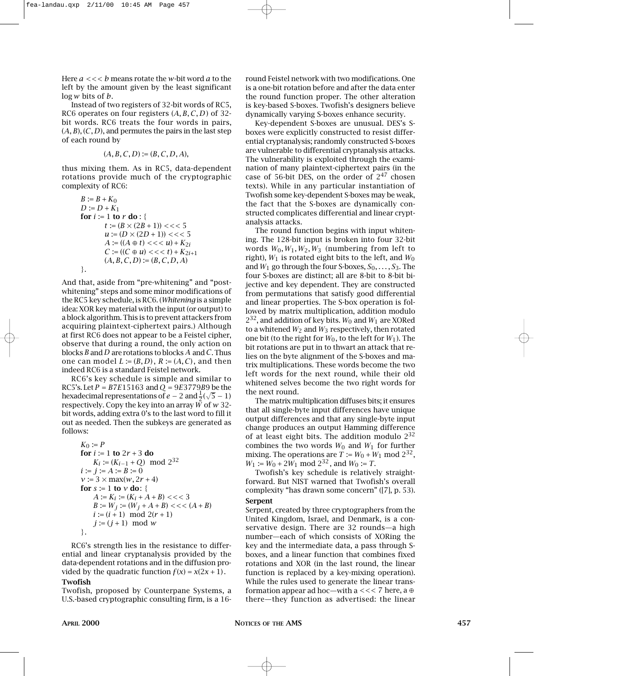Here *a <<< b* means rotate the *w*-bit word *a* to the left by the amount given by the least significant log *w* bits of *b*.

Instead of two registers of 32-bit words of RC5, RC6 operates on four registers (*A, B, C, D*) of 32 bit words. RC6 treats the four words in pairs, (*A, B*)*,* (*C,D*), and permutes the pairs in the last step of each round by

$$
(A, B, C, D) := (B, C, D, A),
$$

thus mixing them. As in RC5, data-dependent rotations provide much of the cryptographic complexity of RC6:

$$
B := B + K_0
$$
  
\n
$$
D := D + K_1
$$
  
\nfor  $i := 1$  to  $r$  do : {  
\n $t := (B \times (2B + 1)) << \lt; 5$   
\n $u := (D \times (2D + 1)) << \lt; 5$   
\n $A := ((A \oplus t) << \lt; u) + K_{2i}$   
\n $C := ((C \oplus u) << \lt; t) + K_{2i+1}$   
\n $(A, B, C, D) := (B, C, D, A)$   
\n}.

And that, aside from "pre-whitening" and "postwhitening" steps and some minor modifications of the RC5 key schedule, is RC6. (*Whitening* is a simple idea: XOR key material with the input (or output) to a block algorithm. This is to prevent attackers from acquiring plaintext-ciphertext pairs.) Although at first RC6 does not appear to be a Feistel cipher, observe that during a round, the only action on blocks *B* and *D* are rotations to blocks *A* and *C*. Thus one can model  $L := (B, D)$ ,  $R := (A, C)$ , and then indeed RC6 is a standard Feistel network.

RC6's key schedule is simple and similar to RC5's. Let  $P = B7E15163$  and  $Q = 9E3779B9$  be the hexadecimal representations of *e* – 2 and  $\frac{1}{2}(\sqrt{5}-1)$ respectively. Copy the key into an array *W* of *w* 32 bit words, adding extra 0's to the last word to fill it out as needed. Then the subkeys are generated as follows:

$$
K_0 := P
$$
  
\n**for**  $i := 1$  **to**  $2r + 3$  **do**  
\n $K_i := (K_{i-1} + Q) \mod 2^{32}$   
\n $i := j := A := B := 0$   
\n $v := 3 \times \max(w, 2r + 4)$   
\n**for**  $s := 1$  **to**  $v$  **do**: {  
\n $A := K_i := (K_i + A + B) << 3$   
\n $B := W_j := (W_j + A + B) << (A + B)$   
\n $i := (i + 1) \mod 2(r + 1)$   
\n $j := (j + 1) \mod w$ 

RC6's strength lies in the resistance to differential and linear cryptanalysis provided by the data-dependent rotations and in the diffusion provided by the quadratic function  $f(x) = x(2x + 1)$ .

# **Twofish**

Twofish, proposed by Counterpane Systems, a U.S.-based cryptographic consulting firm, is a 16round Feistel network with two modifications. One is a one-bit rotation before and after the data enter the round function proper. The other alteration is key-based S-boxes. Twofish's designers believe dynamically varying S-boxes enhance security.

Key-dependent S-boxes are unusual. DES's Sboxes were explicitly constructed to resist differential cryptanalysis; randomly constructed S-boxes are vulnerable to differential cryptanalysis attacks. The vulnerability is exploited through the examination of many plaintext-ciphertext pairs (in the case of 56-bit DES, on the order of  $2^{47}$  chosen texts). While in any particular instantiation of Twofish some key-dependent S-boxes may be weak, the fact that the S-boxes are dynamically constructed complicates differential and linear cryptanalysis attacks.

The round function begins with input whitening. The 128-bit input is broken into four 32-bit words *W*0*, W*1*, W*2*, W*<sup>3</sup> (numbering from left to right),  $W_1$  is rotated eight bits to the left, and  $W_0$ and *W*<sup>1</sup> go through the four S-boxes, *S*0*,...,S*3. The four S-boxes are distinct; all are 8-bit to 8-bit bijective and key dependent. They are constructed from permutations that satisfy good differential and linear properties. The S-box operation is followed by matrix multiplication, addition modulo  $2^{32}$ , and addition of key bits.  $W_0$  and  $W_1$  are XORed to a whitened  $W_2$  and  $W_3$  respectively, then rotated one bit (to the right for *W*0, to the left for *W*1). The bit rotations are put in to thwart an attack that relies on the byte alignment of the S-boxes and matrix multiplications. These words become the two left words for the next round, while their old whitened selves become the two right words for the next round.

The matrix multiplication diffuses bits; it ensures that all single-byte input differences have unique output differences and that any single-byte input change produces an output Hamming difference of at least eight bits. The addition modulo  $2^{32}$ combines the two words  $W_0$  and  $W_1$  for further mixing. The operations are  $T := W_0 + W_1 \text{ mod } 2^{32}$ ,  $W_1 := W_0 + 2W_1 \text{ mod } 2^{32}$ , and  $W_0 := T$ .

Twofish's key schedule is relatively straightforward. But NIST warned that Twofish's overall complexity "has drawn some concern" ([7], p. 53). **Serpent**

Serpent, created by three cryptographers from the United Kingdom, Israel, and Denmark, is a conservative design. There are 32 rounds—a high number—each of which consists of XORing the key and the intermediate data, a pass through Sboxes, and a linear function that combines fixed rotations and XOR (in the last round, the linear function is replaced by a key-mixing operation). While the rules used to generate the linear transformation appear ad hoc—with a  $<< 7$  here, a  $\oplus$ there—they function as advertised: the linear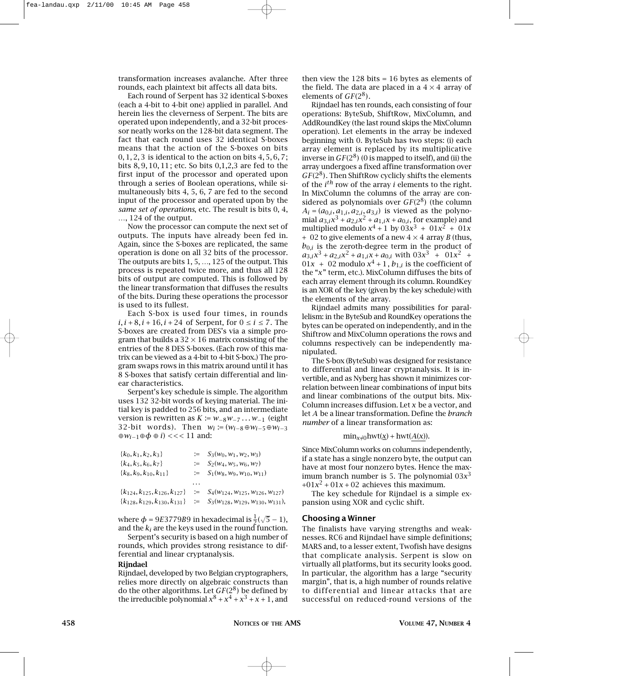transformation increases avalanche. After three rounds, each plaintext bit affects all data bits.

Each round of Serpent has 32 identical S-boxes (each a 4-bit to 4-bit one) applied in parallel. And herein lies the cleverness of Serpent. The bits are operated upon independently, and a 32-bit processor neatly works on the 128-bit data segment. The fact that each round uses 32 identical S-boxes means that the action of the S-boxes on bits 0*,* 1*,* 2*,* 3 is identical to the action on bits 4*,* 5*,* 6*,* 7; bits 8*,* 9*,* 10*,* 11; etc. So bits 0,1,2,3 are fed to the first input of the processor and operated upon through a series of Boolean operations, while simultaneously bits 4, 5, 6, 7 are fed to the second input of the processor and operated upon by the *same set of operations*, etc. The result is bits 0, 4, …, 124 of the output.

Now the processor can compute the next set of outputs. The inputs have already been fed in. Again, since the S-boxes are replicated, the same operation is done on all 32 bits of the processor. The outputs are bits 1, 5, …, 125 of the output. This process is repeated twice more, and thus all 128 bits of output are computed. This is followed by the linear transformation that diffuses the results of the bits. During these operations the processor is used to its fullest.

Each S-box is used four times, in rounds *i*, *i* + 8*, i* + 16*, i* + 24 of Serpent, for  $0 \le i \le 7$ . The S-boxes are created from DES's via a simple program that builds a  $32 \times 16$  matrix consisting of the entries of the 8 DES S-boxes. (Each row of this matrix can be viewed as a 4-bit to 4-bit S-box.) The program swaps rows in this matrix around until it has 8 S-boxes that satisfy certain differential and linear characteristics.

Serpent's key schedule is simple. The algorithm uses 132 32-bit words of keying material. The initial key is padded to 256 bits, and an intermediate version is rewritten as  $K := w_{-8}w_{-7} \ldots w_{-1}$  (eight 32-bit words). Then  $w_i := (w_{i-8} ⊕ w_{i-5} ⊕ w_{i-3})$ ⊕*wi*<sup>−</sup>1⊕*φ* ⊕ *i*) *<<<* 11 and:

| ${k_0, k_1, k_2, k_3}$                 | $\mathcal{S}_3(w_0, w_1, w_2, w_3)$                                              |
|----------------------------------------|----------------------------------------------------------------------------------|
| $\{k_4, k_5, k_6, k_7\}$               | $S_2(w_4, w_5, w_6, w_7)$                                                        |
| ${k_8, k_9, k_{10}, k_{11}}$           | $\mathcal{S}_1(w_8, w_9, w_{10}, w_{11})$                                        |
|                                        |                                                                                  |
| ${k_{124}, k_{125}, k_{126}, k_{127}}$ | $= S_4(W_{124}, W_{125}, W_{126}, W_{127})$                                      |
|                                        | ${k_{128}, k_{129}, k_{130}, k_{131}} = S_3(w_{128}, w_{129}, w_{130}, w_{131})$ |

where  $\phi = 9E3779B9$  in hexadecimal is  $\frac{1}{2}(\sqrt{5} - 1)$ , and the *ki* are the keys used in the round function.

Serpent's security is based on a high number of rounds, which provides strong resistance to differential and linear cryptanalysis.

#### **Rijndael**

Rijndael, developed by two Belgian cryptographers, relies more directly on algebraic constructs than do the other algorithms. Let *GF*(28) be defined by the irreducible polynomial  $x^8 + x^4 + x^3 + x + 1$ , and then view the  $128$  bits = 16 bytes as elements of the field. The data are placed in a  $4 \times 4$  array of elements of *GF*(28).

Rijndael has ten rounds, each consisting of four operations: ByteSub, ShiftRow, MixColumn, and AddRoundKey (the last round skips the MixColumn operation). Let elements in the array be indexed beginning with 0. ByteSub has two steps: (i) each array element is replaced by its multiplicative inverse in  $GF(2^8)$  (0 is mapped to itself), and (ii) the array undergoes a fixed affine transformation over  $GF(2^8)$ . Then ShiftRow cyclicly shifts the elements of the *ith* row of the array *i* elements to the right. In MixColumn the columns of the array are considered as polynomials over  $GF(2^8)$  (the column  $A_i = (a_{0,i}, a_{1,i}, a_{2,i}, a_{3,i})$  is viewed as the polynomial  $a_{3,i}x^3 + a_{2,i}x^2 + a_{1,i}x + a_{0,i}$ , for example) and multiplied modulo  $x^4 + 1$  by  $0.3x^3 + 0.1x^2 + 0.1x$  $+$  02 to give elements of a new  $4 \times 4$  array *B* (thus,  $b_{0,i}$  is the zeroth-degree term in the product of  $a_{3,i}x^3 + a_{2,i}x^2 + a_{1,i}x + a_{0,i}$  with  $03x^3 + 01x^2 +$  $01x + 02$  modulo  $x^4 + 1$ ,  $b_{1,i}$  is the coefficient of the "*x*" term, etc.). MixColumn diffuses the bits of each array element through its column. RoundKey is an XOR of the key (given by the key schedule) with the elements of the array.

Rijndael admits many possibilities for parallelism: in the ByteSub and RoundKey operations the bytes can be operated on independently, and in the Shiftrow and MixColumn operations the rows and columns respectively can be independently manipulated.

The S-box (ByteSub) was designed for resistance to differential and linear cryptanalysis. It is invertible, and as Nyberg has shown it minimizes correlation between linear combinations of input bits and linear combinations of the output bits. Mix-Column increases diffusion. Let *x* be a vector, and let *A* be a linear transformation. Define the *branch number* of a linear transformation as:

#### $\min_{x\neq 0}$  hwt( $\underline{X}$ ) + hwt( $A(x)$ ).

Since MixColumn works on columns independently, if a state has a single nonzero byte, the output can have at most four nonzero bytes. Hence the maximum branch number is 5. The polynomial  $03x^3$  $+01x^2+01x+02$  achieves this maximum.

The key schedule for Rijndael is a simple expansion using XOR and cyclic shift.

#### **Choosing a Winner**

The finalists have varying strengths and weaknesses. RC6 and Rijndael have simple definitions; MARS and, to a lesser extent, Twofish have designs that complicate analysis. Serpent is slow on virtually all platforms, but its security looks good. In particular, the algorithm has a large "security margin", that is, a high number of rounds relative to differential and linear attacks that are successful on reduced-round versions of the